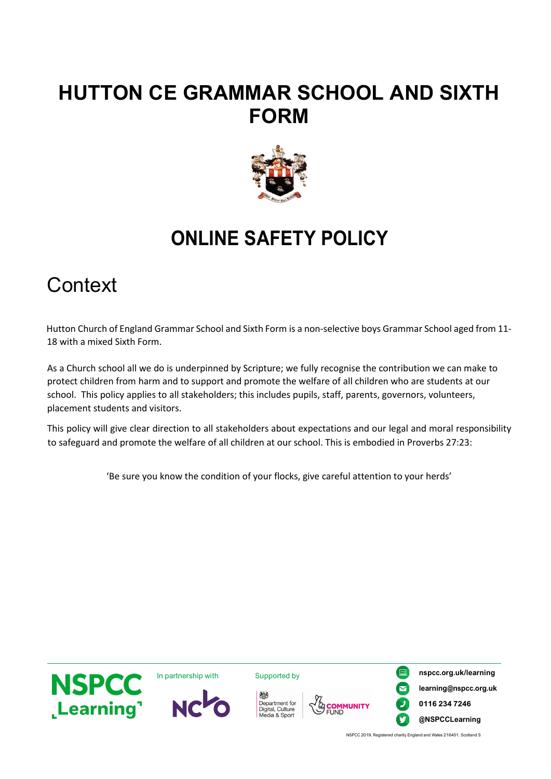## **HUTTON CE GRAMMAR SCHOOL AND SIXTH FORM**



## **ONLINE SAFETY POLICY**

#### **Context**

Hutton Church of England Grammar School and Sixth Form is a non-selective boys Grammar School aged from 11- 18 with a mixed Sixth Form.

As a Church school all we do is underpinned by Scripture; we fully recognise the contribution we can make to protect children from harm and to support and promote the welfare of all children who are students at our school. This policy applies to all stakeholders; this includes pupils, staff, parents, governors, volunteers, placement students and visitors.

This policy will give clear direction to all stakeholders about expectations and our legal and moral responsibility to safeguard and promote the welfare of all children at our school. This is embodied in Proverbs 27:23:

'Be sure you know the condition of your flocks, give careful attention to your herds'



NSPCC 2019. Registered charity England and Wales 216401. Scotland S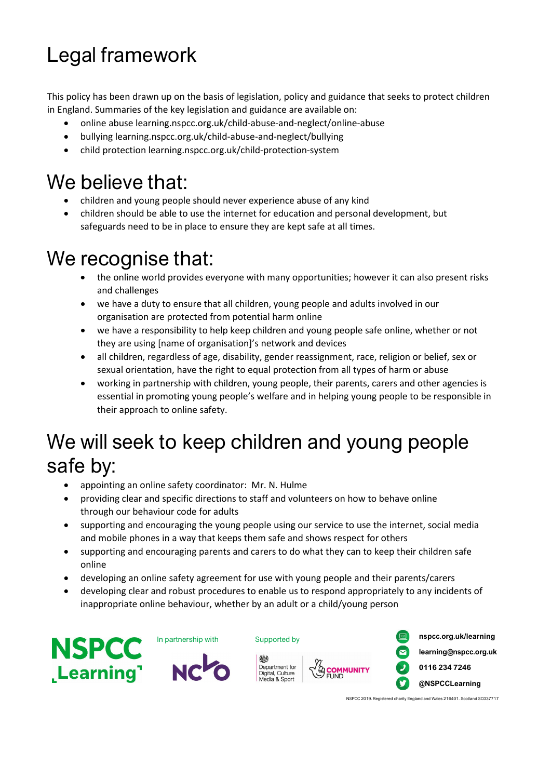# Legal framework

This policy has been drawn up on the basis of legislation, policy and guidance that seeks to protect children in England. Summaries of the key legislation and guidance are available on:

- online abuse learning.nspcc.org.uk/child-abuse-and-neglect/online-abuse
- bullying learning.nspcc.org.uk/child-abuse-and-neglect/bullying
- child protection learning.nspcc.org.uk/child-protection-system

## We believe that:

- children and young people should never experience abuse of any kind
- children should be able to use the internet for education and personal development, but safeguards need to be in place to ensure they are kept safe at all times.

## We recognise that:

- the online world provides everyone with many opportunities; however it can also present risks and challenges
- we have a duty to ensure that all children, young people and adults involved in our organisation are protected from potential harm online
- we have a responsibility to help keep children and young people safe online, whether or not they are using [name of organisation]'s network and devices
- all children, regardless of age, disability, gender reassignment, race, religion or belief, sex or sexual orientation, have the right to equal protection from all types of harm or abuse
- working in partnership with children, young people, their parents, carers and other agencies is essential in promoting young people's welfare and in helping young people to be responsible in their approach to online safety.

## We will seek to keep children and young people safe by:

- appointing an online safety coordinator: Mr. N. Hulme
- providing clear and specific directions to staff and volunteers on how to behave online through our behaviour code for adults
- supporting and encouraging the young people using our service to use the internet, social media and mobile phones in a way that keeps them safe and shows respect for others
- supporting and encouraging parents and carers to do what they can to keep their children safe online
- developing an online safety agreement for use with young people and their parents/carers
- developing clear and robust procedures to enable us to respond appropriately to any incidents of inappropriate online behaviour, whether by an adult or a child/young person







Department for<br>Digital, Culture

Media & Sport

**YA COMMUNITY**<br>SPUND



NSPCC 2019. Registered charity England and Wales 216401. Scotland SC037717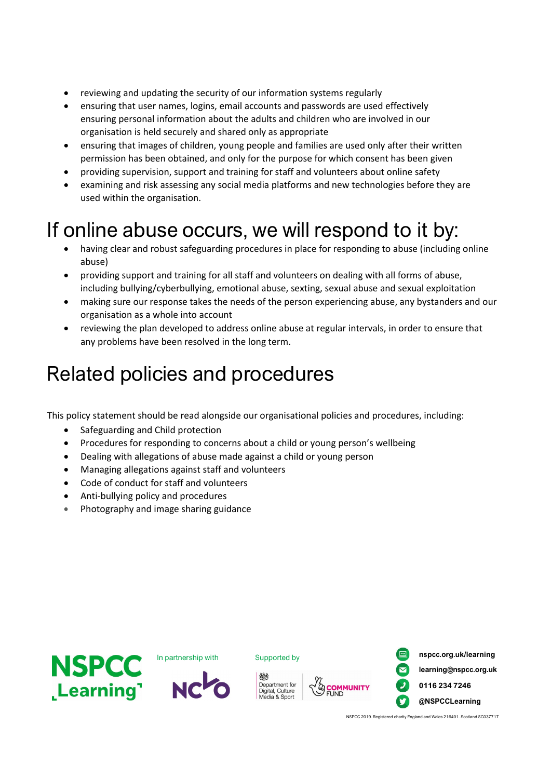- reviewing and updating the security of our information systems regularly
- ensuring that user names, logins, email accounts and passwords are used effectively ensuring personal information about the adults and children who are involved in our organisation is held securely and shared only as appropriate
- ensuring that images of children, young people and families are used only after their written permission has been obtained, and only for the purpose for which consent has been given
- providing supervision, support and training for staff and volunteers about online safety
- examining and risk assessing any social media platforms and new technologies before they are used within the organisation.

## If online abuse occurs, we will respond to it by:

- having clear and robust safeguarding procedures in place for responding to abuse (including online abuse)
- providing support and training for all staff and volunteers on dealing with all forms of abuse, including bullying/cyberbullying, emotional abuse, sexting, sexual abuse and sexual exploitation
- making sure our response takes the needs of the person experiencing abuse, any bystanders and our organisation as a whole into account
- reviewing the plan developed to address online abuse at regular intervals, in order to ensure that any problems have been resolved in the long term.

## Related policies and procedures

This policy statement should be read alongside our organisational policies and procedures, including:

- Safeguarding and Child protection
- Procedures for responding to concerns about a child or young person's wellbeing
- Dealing with allegations of abuse made against a child or young person
- Managing allegations against staff and volunteers
- Code of conduct for staff and volunteers
- Anti-bullying policy and procedures
- Photography and image sharing guidance





Department for<br>Digital, Culture<br>Media & Sport



In partnership with **Supported by nspcc.org.uk/learning learning@nspcc.org.uk 0116 234 7246 @NSPCCLearning**

NSPCC 2019. Registered charity England and Wales 216401. Scotland SC037717